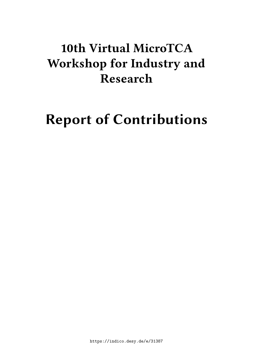# **10th Virtual MicroTCA Workshop for Industry and Research**

# **Report of Contributions**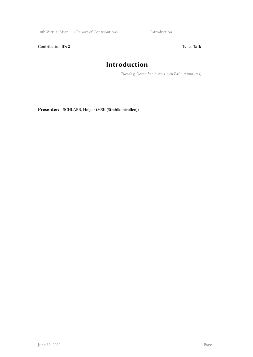10th Virtual Micr … / Report of Contributions Introduction

Contribution ID: 2 Type: Talk

# **Introduction**

*Tuesday, December 7, 2021 3:20 PM (10 minutes)*

**Presenter:** SCHLARB, Holger (MSK (Strahlkontrollen))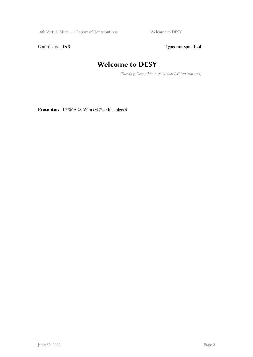10th Virtual Micr ... / Report of Contributions Welcome to DESY

Contribution ID: 3 Type: **not specified** 

# **Welcome to DESY**

*Tuesday, December 7, 2021 3:00 PM (20 minutes)*

**Presenter:** LEEMANS, Wim (M (Beschleuniger))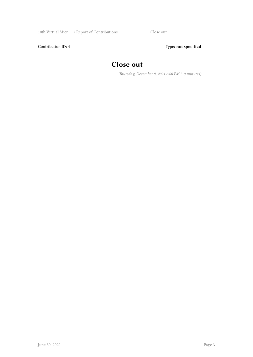Contribution ID: 4 Type: **not specified** 

# **Close out**

*Thursday, December 9, 2021 6:00 PM (10 minutes)*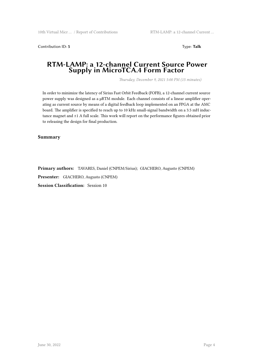**Contribution ID: 5** Type: **Talk** 

### **RTM-LAMP: a 12-channel Current Source Power Supply in MicroTCA.4 Form Factor**

*Thursday, December 9, 2021 5:00 PM (15 minutes)*

In order to minimize the latency of Sirius Fast Orbit Feedback (FOFB), a 12-channel current source power supply was designed as a μRTM module. Each channel consists of a linear amplifier operating as current source by means of a digital feedback loop implemented on an FPGA at the AMC board. The amplifier is specified to reach up to 10 kHz small-signal bandwidth on a 3.5 mH inductance magnet and ±1 A full scale. This work will report on the performance figures obtained prior to releasing the design for final production.

**Summary**

**Primary authors:** TAVARES, Daniel (CNPEM/Sirius); GIACHERO, Augusto (CNPEM)

**Presenter:** GIACHERO, Augusto (CNPEM)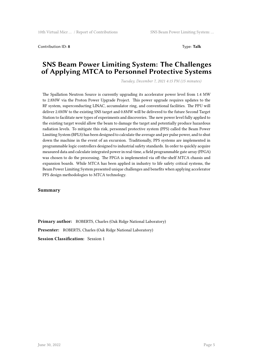Contribution ID: **8** Type: **Talk**

### **SNS Beam Power Limiting System: The Challenges of Applying MTCA to Personnel Protective Systems**

*Tuesday, December 7, 2021 4:15 PM (15 minutes)*

The Spallation Neutron Source is currently upgrading its accelerator power level from 1.4 MW to 2.8MW via the Proton Power Upgrade Project. This power upgrade requires updates to the RF system, superconducting LINAC, accumulator ring, and conventional facilities. The PPU will deliver 2.0MW to the existing SNS target and 0.8MW will be delivered to the future Second Target Station to facilitate new types of experiments and discoveries. The new power level fully applied to the existing target would allow the beam to damage the target and potentially produce hazardous radiation levels. To mitigate this risk, personnel protective system (PPS) called the Beam Power Limiting System (BPLS) has been designed to calculate the average and per pulse power, and to shut down the machine in the event of an excursion. Traditionally, PPS systems are implemented in programmable logic controllers designed to industrial safety standards. In order to quickly acquire measured data and calculate integrated power in real-time, a field programmable gate array (FPGA) was chosen to do the processing. The FPGA is implemented via off-the-shelf MTCA chassis and expansion boards. While MTCA has been applied in industry to life safety critical systems, the Beam Power Limiting System presented unique challenges and benefits when applying accelerator PPS design methodologies to MTCA technology.

#### **Summary**

**Primary author:** ROBERTS, Charles (Oak Ridge National Laboratory) **Presenter:** ROBERTS, Charles (Oak Ridge National Laboratory) **Session Classification:** Session 1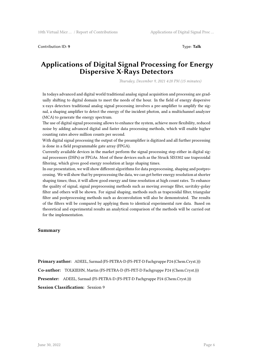Contribution ID: 9 Type: **Talk** 

### **Applications of Digital Signal Processing for Energy Dispersive X-Rays Detectors**

*Thursday, December 9, 2021 4:20 PM (15 minutes)*

In todays advanced and digital world traditional analog signal acquisition and processing are gradually shifting to digital domain to meet the needs of the hour. In the field of energy dispersive x-rays detectors traditional analog signal processing involves a pre-amplifier to amplify the signal, a shaping amplifier to detect the energy of the incident photon, and a multichannel analyzer (MCA) to generate the energy spectrum.

The use of digital signal processing allows to enhance the system, achieve more flexibility, reduced noise by adding advanced digital and faster data processing methods, which will enable higher counting rates above million counts per second.

With digital signal processing the output of the preamplifier is digitized and all further processing is done in a field programmable gate array (FPGA).

Currently available devices in the market perform the signal processing step either in digital signal processors (DSPs) or FPGAs. Most of these devices such as the Struck SIS3302 use trapezoidal filtering, which gives good energy resolution at large shaping times.

In our presentation, we will show different algorithms for data preprocessing, shaping and postprocessing. We will show that by preprocessing the data, we can get better energy resolution at shorter shaping times; thus, it will allow good energy and time resolution at high count rates. To enhance the quality of signal, signal preprocessing methods such as moving average filter, savitzky-golay filter and others will be shown. For signal shaping, methods such as trapezoidal filter, triangular filter and postprocessing methods such as deconvolution will also be demonstrated. The results of the filters will be compared by applying them to identical experimental raw data. Based on theoretical and experimental results an analytical comparison of the methods will be carried out for the implementation.

#### **Summary**

**Primary author:** ADEEL, Sarmad (FS-PETRA-D (FS-PET-D Fachgruppe P24 (Chem.Cryst.))) **Co-author:** TOLKIEHN, Martin (FS-PETRA-D (FS-PET-D Fachgruppe P24 (Chem.Cryst.))) **Presenter:** ADEEL, Sarmad (FS-PETRA-D (FS-PET-D Fachgruppe P24 (Chem.Cryst.))) **Session Classification:** Session 9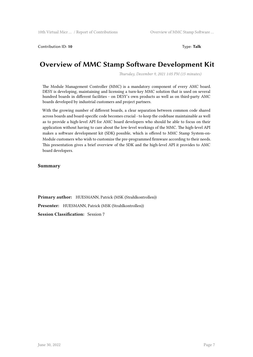Contribution ID: **10** Type: **Talk**

# **Overview of MMC Stamp Software Development Kit**

*Thursday, December 9, 2021 1:05 PM (15 minutes)*

The Module Management Controller (MMC) is a mandatory component of every AMC board. DESY is developing, maintaining and licensing a turn-key MMC solution that is used on several hundred boards in different facilities - on DESY's own products as well as on third-party AMC boards developed by industrial customers and project partners.

With the growing number of different boards, a clear separation between common code shared across boards and board-specific code becomes crucial - to keep the codebase maintainable as well as to provide a high-level API for AMC board developers who should be able to focus on their application without having to care about the low-level workings of the MMC. The high-level API makes a software development kit (SDK) possible, which is offered to MMC Stamp System-on-Module customers who wish to customize the pre-programmed firmware according to their needs. This presentation gives a brief overview of the SDK and the high-level API it provides to AMC board developers.

#### **Summary**

**Primary author:** HUESMANN, Patrick (MSK (Strahlkontrollen)) **Presenter:** HUESMANN, Patrick (MSK (Strahlkontrollen)) **Session Classification:** Session 7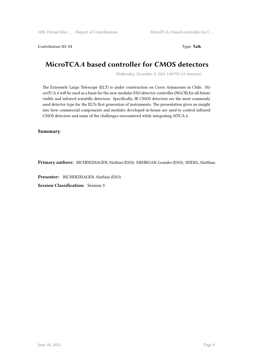Contribution ID: **11** Type: **Talk**

## **MicroTCA.4 based controller for CMOS detectors**

*Wednesday, December 8, 2021 1:00 PM (15 minutes)*

The Extremely Large Telescope (ELT) is under construction on Cerro Armazones in Chile. MicroTCA.4 will be used as a basis for the new modular ESO detector controller (NGCII) for all future visible and infrared scientific detectors. Specifically, IR CMOS detectors are the most commonly used detector type for the ELTs first generation of instruments. The presentation gives an insight into how commercial components and modules developed in-house are used to control infrared CMOS detectors and some of the challenges encountered while integrating MTCA.4.

**Summary**

**Primary authors:** RICHERZHAGEN, Mathias (ESO); MEHRGAN, Leander (ESO); SEIDEL, Matthias

**Presenter:** RICHERZHAGEN, Mathias (ESO)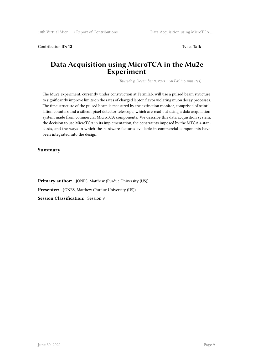**Contribution ID: 12** Type: **Talk** 

### **Data Acquisition using MicroTCA in the Mu2e Experiment**

*Thursday, December 9, 2021 3:50 PM (15 minutes)*

The Mu2e experiment, currently under construction at Fermilab, will use a pulsed beam structure to significantly improve limits on the rates of charged lepton flavor violating muon decay processes. The time structure of the pulsed beam is measured by the extinction monitor, comprised of scintillation counters and a silicon pixel detector telescope, which are read out using a data acquisition system made from commercial MicroTCA components. We describe this data acquisition system, the decision to use MicroTCA in its implementation, the constraints imposed by the MTCA.4 standards, and the ways in which the hardware features available in commercial components have been integrated into the design.

#### **Summary**

**Primary author:** JONES, Matthew (Purdue University (US)) **Presenter:** JONES, Matthew (Purdue University (US)) **Session Classification:** Session 9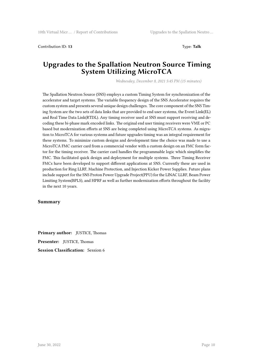Contribution ID: **13** Type: **Talk**

# **Upgrades to the Spallation Neutron Source Timing System Utilizing MicroTCA**

*Wednesday, December 8, 2021 5:45 PM (15 minutes)*

The Spallation Neutron Source (SNS) employs a custom Timing System for synchronization of the accelerator and target systems. The variable frequency design of the SNS Accelerator requires the custom system and presents several unique design challenges. The core component of the SNS Timing System are the two sets of data links that are provided to end user systems, the Event Link(EL) and Real Time Data Link(RTDL). Any timing receiver used at SNS must support receiving and decoding these bi-phase mark encoded links. The original end user timing receivers were VME or PC based but modernization efforts at SNS are being completed using MicroTCA systems. As migration to MicroTCA for various systems and future upgrades timing was an integral requirement for these systems. To minimize custom designs and development time the choice was made to use a MicroTCA FMC carrier card from a commercial vendor with a custom design on an FMC form factor for the timing receiver. The carrier card handles the programmable logic which simplifies the FMC. This facilitated quick design and deployment for multiple systems. Three Timing Receiver FMCs have been developed to support different applications at SNS. Currently these are used in production for Ring LLRF, Machine Protection, and Injection Kicker Power Supplies. Future plans include support for the SNS Proton Power Upgrade Project(PPU) for the LINAC LLRF, Beam Power Limiting System(BPLS), and HPRF as well as further modernization efforts throughout the facility in the next 10 years.

#### **Summary**

**Primary author:** JUSTICE, Thomas **Presenter:** JUSTICE, Thomas **Session Classification:** Session 6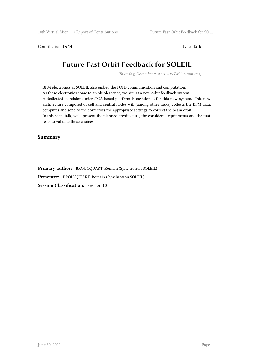Contribution ID: **14** Type: **Talk**

# **Future Fast Orbit Feedback for SOLEIL**

*Thursday, December 9, 2021 5:45 PM (15 minutes)*

BPM electronics at SOLEIL also embed the FOFB communication and computation. As these electronics come to an obsolescence, we aim at a new orbit feedback system. A dedicated standalone microTCA based platform is envisioned for this new system. This new architecture composed of cell and central nodes will (among other tasks) collects the BPM data, computes and send to the correctors the appropriate settings to correct the beam orbit. In this speedtalk, we'll present the planned architecture, the considered equipments and the first tests to validate these choices.

**Summary**

**Primary author:** BROUCQUART, Romain (Synchrotron SOLEIL) **Presenter:** BROUCQUART, Romain (Synchrotron SOLEIL) **Session Classification:** Session 10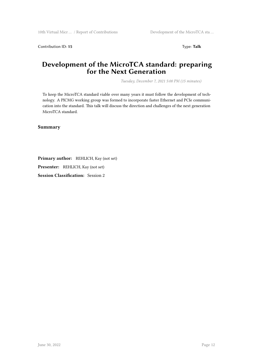Contribution ID: 15 Type: Talk

# **Development of the MicroTCA standard: preparing for the Next Generation**

*Tuesday, December 7, 2021 5:00 PM (15 minutes)*

To keep the MicroTCA standard viable over many years it must follow the development of technology. A PICMG working group was formed to incorporate faster Ethernet and PCIe communication into the standard. This talk will discuss the direction and challenges of the next generation MicroTCA standard.

**Summary**

**Primary author:** REHLICH, Kay (not set)

**Presenter:** REHLICH, Kay (not set)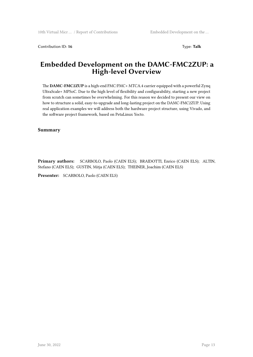Contribution ID: **16** Type: **Talk**

### **Embedded Development on the DAMC-FMC2ZUP: a High-level Overview**

The **DAMC-FMC2ZUP** is a high-end FMC/FMC+ MTCA.4 carrier equipped with a powerful Zynq UltraScale+ MPSoC. Due to the high level of flexibility and configurability, starting a new project from scratch can sometimes be overwhelming. For this reason we decided to present our view on how to structure a solid, easy-to-upgrade and long-lasting project on the DAMC-FMC2ZUP. Using real application examples we will address both the hardware project structure, using Vivado, and the software project framework, based on PetaLinux Yocto.

**Summary**

**Primary authors:** SCARBOLO, Paolo (CAEN ELS); BRAIDOTTI, Enrico (CAEN ELS); ALTIN, Stefano (CAEN ELS); GUSTIN, Mitja (CAEN ELS); THEINER, Joachim (CAEN ELS)

**Presenter:** SCARBOLO, Paolo (CAEN ELS)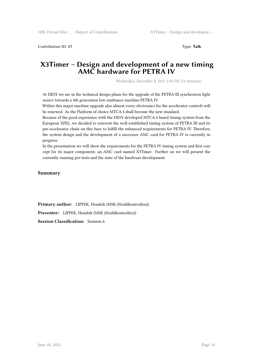Contribution ID: **17** Type: **Talk**

### **X3Timer – Design and development of a new timing AMC hardware for PETRA IV**

*Wednesday, December 8, 2021 5:30 PM (15 minutes)*

At DESY we are in the technical design phase for the upgrade of the PETRA III synchrotron light source towards a 4th generation low emittance machine PETRA IV.

Within this major machine upgrade also almost every electronics for the accelerator controls will be renewed. As the Platform of choice MTCA.4 shall become the new standard.

Because of the good experience with the DESY developed MTCA.4 based timing system from the European XFEL, we decided to reinvent the well-established timing system of PETRA III and its pre-accelerator chain on this base to fulfill the enhanced requirements for PETRA IV. Therefore, the system design and the development of a successor AMC card for PETRA IV is currently in progress.

In the presentation we will show the requirements for the PETRA IV timing system and first concept for its major component, an AMC card named X3Timer. Further on we will present the currently running pre-tests and the state of the hardware development.

**Summary**

**Primary author:** LIPPEK, Hendrik (MSK (Strahlkontrollen)) **Presenter:** LIPPEK, Hendrik (MSK (Strahlkontrollen)) **Session Classification:** Session 6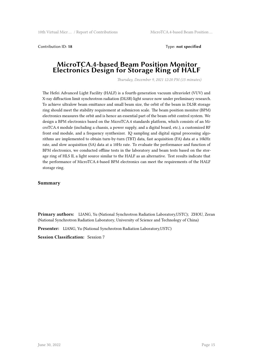Contribution ID: **18** Type: **not specified**

### **MicroTCA.4-based Beam Position Monitor Electronics Design for Storage Ring of HALF**

*Thursday, December 9, 2021 12:20 PM (15 minutes)*

The Hefei Advanced Light Facility (HALF) is a fourth-generation vacuum ultraviolet (VUV) and X-ray diffraction limit synchrotron radiation (DLSR) light source now under preliminary research. To achieve ultralow beam emittance and small beam size, the orbit of the beam in DLSR storage ring should meet the stability requirement at submicron scale. The beam position monitor (BPM) electronics measures the orbit and is hence an essential part of the beam orbit control system. We design a BPM electronics based on the MicroTCA.4 standards platform, which consists of an MicroTCA.4 module (including a chassis, a power supply, and a digital board, etc.), a customized RF front end module, and a frequency synthesizer. IQ sampling and digital signal processing algorithms are implemented to obtain turn-by-turn (TBT) data, fast acquisition (FA) data at a 10kHz rate, and slow acquisition (SA) data at a 10Hz rate. To evaluate the performance and function of BPM electronics, we conducted offline tests in the laboratory and beam tests based on the storage ring of HLS II, a light source similar to the HALF as an alternative. Test results indicate that the performance of MicroTCA.4-based BPM electronics can meet the requirements of the HALF storage ring.

#### **Summary**

**Primary authors:** LIANG, Yu (National Synchrotron Radiation Laboratory,USTC); ZHOU, Zeran (National Synchrotron Radiation Laboratory, University of Science and Technology of China)

**Presenter:** LIANG, Yu (National Synchrotron Radiation Laboratory,USTC)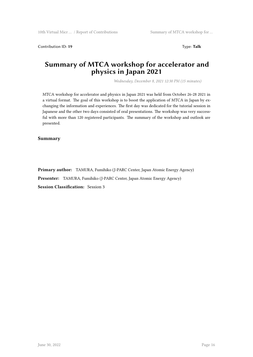Contribution ID: **19** Type: **Talk**

# **Summary of MTCA workshop for accelerator and physics in Japan 2021**

*Wednesday, December 8, 2021 12:30 PM (15 minutes)*

MTCA workshop for accelerator and physics in Japan 2021 was held from October 26-28 2021 in a virtual format. The goal of this workshop is to boost the application of MTCA in Japan by exchanging the information and experiences. The first day was dedicated for the tutorial session in Japanese and the other two days consisted of oral presentations. The workshop was very successful with more than 120 registered participants. The summary of the workshop and outlook are presented.

**Summary**

**Primary author:** TAMURA, Fumihiko (J-PARC Center, Japan Atomic Energy Agency)

**Presenter:** TAMURA, Fumihiko (J-PARC Center, Japan Atomic Energy Agency)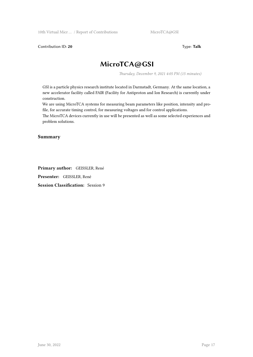Contribution ID: 20 Type: Talk

# **MicroTCA@GSI**

*Thursday, December 9, 2021 4:05 PM (15 minutes)*

GSI is a particle physics research institute located in Darmstadt, Germany. At the same location, a new accelerator facility called FAIR (Facility for Antiproton and Ion Research) is currently under construction.

We are using MicroTCA systems for measuring beam parameters like position, intensity and profile, for accurate timing control, for measuring voltages and for control applications.

The MicroTCA devices currently in use will be presented as well as some selected experiences and problem solutions.

#### **Summary**

**Primary author:** GEISSLER, René **Presenter:** GEISSLER, René **Session Classification:** Session 9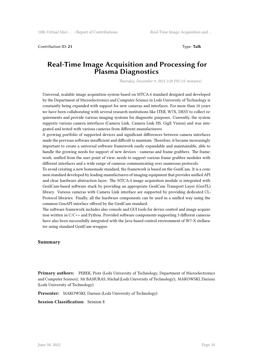Contribution ID: **21** Type: **Talk**

# **Real-Time Image Acquisition and Processing for Plasma Diagnostics**

*Thursday, December 9, 2021 2:20 PM (15 minutes)*

Universal, scalable image acquisition system based on MTCA.4 standard designed and developed by the Department of Microelectronics and Computer Science in Lodz University of Technology is constantly being expanded with support for new cameras and interfaces. For more than 10 years we have been collaborating with several research institutions like ITER, W7X, DESY to collect requirements and provide various imaging systems for diagnostic purposes. Currently, the system supports various camera interfaces (Camera Link, Camera Link HS, GigE Vision) and was integrated and tested with various cameras from different manufacturers.

A growing portfolio of supported devices and significant differences between camera interfaces made the previous software insufficient and difficult to maintain. Therefore, it became increasingly important to create a universal software framework easily expandable and maintainable, able to handle the growing needs for support of new devices - cameras and frame grabbers. The framework, unified from the user point of view, needs to support various frame grabber modules with different interfaces and a wide range of cameras communicating over numerous protocols.

To avoid creating a new homemade standard, the framework is based on the GenICam. It is a common standard developed by leading manufacturers of imaging equipment that provides unified API and clear hardware abstraction layer. The MTCA.4 image acquisition module is integrated with GenICam-based software stuck by providing an appropriate GenICam Transport Layer (GenTL) library. Various cameras with Camera Link interface are supported by providing dedicated CL-Protocol libraries. Finally, all the hardware components can be used in a unified way using the common GenAPI interface offered by the GenICam standard.

The software framework includes also console and GUI tools for device control and image acquisition written in C/C++ and Python. Provided software components supporting 3 different cameras have also been successfully integrated with the Java-based control environment of W7-X stellarator using standard GenICam wrapper.

#### **Summary**

**Primary authors:** PEREK, Piotr (Lodz University of Technology, Department of Microelectronics and Computer Science); Mr BASIURAS, Michał (Lodz University of Technology); MAKOWSKI, Dariusz (Lodz University of Technology)

**Presenter:** MAKOWSKI, Dariusz (Lodz University of Technology)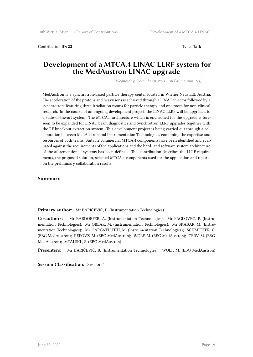Contribution ID: **23** Type: **Talk**

# **Development of a MTCA.4 LINAC LLRF system for the MedAustron LINAC upgrade**

*Wednesday, December 8, 2021 2:30 PM (15 minutes)*

MedAustron is a synchrotron-based particle therapy center located in Wiener Neustadt, Austria. The acceleration of the protons and heavy ions is achieved through a LINAC injector followed by a synchrotron, featuring three irradiation rooms for particle therapy and one room for non-clinical research. In the course of an ongoing development project, the LINAC LLRF will be upgraded to a state-of-the-art system. The MTCA.4 architecture which is envisioned for the upgrade is foreseen to be expanded for LINAC beam diagnostics and Synchrotron LLRF upgrades together with the RF knockout extraction system. This development project is being carried out through a collaboration between MedAustron and Instrumentation Technologies, combining the expertise and resources of both teams. Suitable commercial MTCA.4 components have been identified and evaluated against the requirements of the applications and the hard- and software system architecture of the aforementioned systems has been defined. This contribution describes the LLRF requirements, the proposed solution, selected MTCA.4 components used for the application and reports on the preliminary collaboration results.

#### **Summary**

**Primary author:** Mr BARIČEVIĆ, B. (Instrumentation Technologies)

**Co-authors:** Mr BARDORFER, A. (Instrumentation Technologies); Mr PAGLOVEC, P. (Instrumentation Technologies); Mr OBLAK, M. (Instrumentation Technologies); Mr SKABAR, M. (Instrumentation Technologies); Mr CARGNELUTTI, M. (Instrumentation Technologies); SCHMITZER, C. (EBG MedAustron); REPOVZ, M. (EBG MedAustron); WOLF, M. (EBG MedAustron); CERV, M. (EBG MedAustron); MYALSKI , S. (EBG MedAustron)

**Presenters:** Mr BARIČEVIĆ, B. (Instrumentation Technologies); WOLF, M. (EBG MedAustron)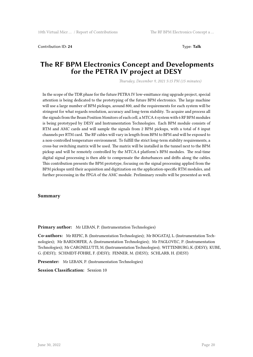Contribution ID: 24 Type: Talk

### **The RF BPM Electronics Concept and Developments for the PETRA IV project at DESY**

*Thursday, December 9, 2021 5:15 PM (15 minutes)*

In the scope of the TDR phase for the future PETRA IV low-emittance ring upgrade project, special attention is being dedicated to the prototyping of the future BPM electronics. The large machine will use a large number of BPM pickups, around 800, and the requirements for each system will be stringent for what regards resolution, accuracy and long-term stability. To acquire and process all the signals from the Beam Position Monitors of each cell, a MTCA.4 system with 6 RF BPM modules is being prototyped by DESY and Instrumentation Technologies. Each BPM module consists of RTM and AMC cards and will sample the signals from 2 BPM pickups, with a total of 8 input channels per RTM card. The RF cables will vary in length from BPM to BPM and will be exposed to a non-controlled temperature environment. To fulfill the strict long-term stability requirements, a cross-bar switching matrix will be used. The matrix will be installed in the tunnel next to the BPM pickup and will be remotely controlled by the MTCA.4 platform's BPM modules. The real-time digital signal processing is then able to compensate the disturbances and drifts along the cables. This contribution presents the BPM prototype, focusing on the signal processing applied from the BPM pickups until their acquisition and digitization on the application-specific RTM modules, and further processing in the FPGA of the AMC module. Preliminary results will be presented as well.

#### **Summary**

**Primary author:** Mr LEBAN, P. (Instrumentation Technologies)

**Co-authors:** Mr REPIC, B. (Instrumentation Technologies); Mr BOGATAJ, L. (Instrumentation Technologies); Mr BARDORFER, A. (Instrumentation Technologies); Mr PAGLOVEC, P. (Instrumentation Technologies); Mr CARGNELUTTI, M. (Instrumentation Technologies); WITTENBURG, K. (DESY); KUBE, G. (DESY); SCHMIDT-FÖHRE, F. (DESY); FENNER, M. (DESY); SCHLARB, H. (DESY)

**Presenter:** Mr LEBAN, P. (Instrumentation Technologies)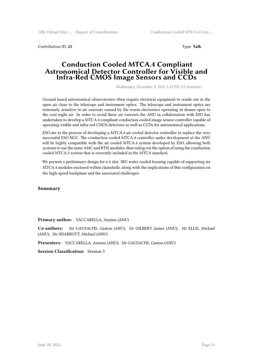Contribution ID: 25 Type: Talk

### **Conduction Cooled MTCA.4 Compliant Astronomical Detector Controller for Visible and Infra-Red CMOS Image Sensors and CCDs**

*Wednesday, December 8, 2021 1:15 PM (15 minutes)*

Ground based astronomical observatories often require electrical equipment to reside out in the open air close to the telescope and instrument optics. The telescope and instrument optics are extremely sensitive to air currents caused by the warm electronics operating in domes open to the cool night air. In order to avoid these air currents the ANU in collaboration with ESO has undertaken to develop a MTCA.4 compliant conduction cooled image sensor controller capable of operating visible and infra-red CMOS detectors as well as CCDs for astronomical applications.

ESO are in the process of developing a MTCA.4 air cooled detector controller to replace the very successful ESO NGC. The conduction cooled MTCA.4 controller under development at the ANU will be highly compatible with the air cooled MTCA.4 system developed by ESO, allowing both systems to use the same AMC and RTM modules, thus ruling out the option of using the conduction cooled MTCA.3 system that is currently included in the MTCA standard.

We present a preliminary design for a 6 slot, 3RU water cooled housing capable of supporting six MTCA.4 modules enclosed within clamshells, along with the implications of this configuration on the high-speed backplane and the associated challenges.

**Summary**

**Primary author:** VACCARELLA, Annino (ANU)

**Co-authors:** Mr GAUSACHS, Gaston (ANU); Dr GILBERT, James (ANU); Mr ELLIS, Michael (ANU); Mr SHARROTT, Michael (ANU)

**Presenters:** VACCARELLA, Annino (ANU); Mr GAUSACHS, Gaston (ANU)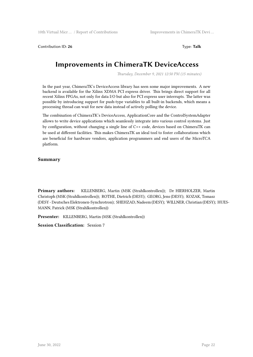Contribution ID: **26** Type: **Talk**

# **Improvements in ChimeraTK DeviceAccess**

*Thursday, December 9, 2021 12:50 PM (15 minutes)*

In the past year, ChimeraTK's DeviceAccess library has seen some major improvements. A new backend is available for the Xilinx XDMA PCI express driver. This brings direct support for all recent Xilinx FPGAs, not only for data I/O but also for PCI express user interrupts. The latter was possible by introducing support for push-type variables to all built-in backends, which means a processing thread can wait for new data instead of actively polling the device.

The combination of ChimeraTK's DeviceAccess, ApplicationCore and the ControlSystemAdapter allows to write device applications which seamlessly integrate into various control systems. Just by configuration, without changing a single line of C++ code, devices based on ChimeraTK can be used at different facilities. This makes ChimeraTK an ideal tool to foster collaborations which are beneficial for hardware vendors, application programmers and end users of the MicroTCA platform.

#### **Summary**

**Primary authors:** KILLENBERG, Martin (MSK (Strahlkontrollen)); Dr HIERHOLZER, Martin Christoph (MSK (Strahlkontrollen)); ROTHE, Dietrich (DESY); GEORG, Jens (DESY); KOZAK, Tomasz (DESY - Deutsches Elektronen-Synchrotron); SHEHZAD, Nadeem (DESY); WILLNER, Christian (DESY); HUES-MANN, Patrick (MSK (Strahlkontrollen))

**Presenter:** KILLENBERG, Martin (MSK (Strahlkontrollen))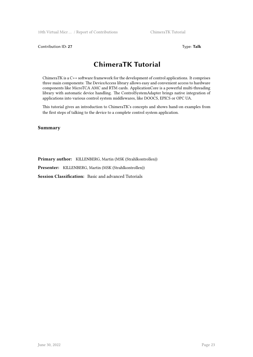**Contribution ID: 27** Type: **Talk** 

# **ChimeraTK Tutorial**

ChimeraTK is a C++ software framework for the development of control applications. It comprises three main components: The DeviceAccess library allows easy and convenient access to hardware components like MicroTCA AMC and RTM cards. ApplicationCore is a powerful multi-threading library with automatic device handling. The ControlSystemAdapter brings native integration of applications into various control system middlewares, like DOOCS, EPICS or OPC UA.

This tutorial gives an introduction to ChimeraTK's concepts and shows hand-on examples from the first steps of talking to the device to a complete control system application.

#### **Summary**

**Primary author:** KILLENBERG, Martin (MSK (Strahlkontrollen))

**Presenter:** KILLENBERG, Martin (MSK (Strahlkontrollen))

**Session Classification:** Basic and advanced Tutorials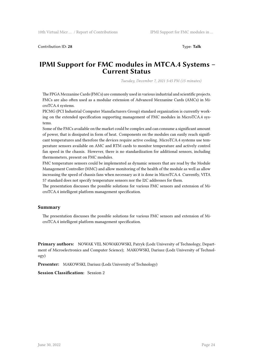Contribution ID: 28 Type: Talk

### **IPMI Support for FMC modules in MTCA.4 Systems – Current Status**

*Tuesday, December 7, 2021 5:45 PM (15 minutes)*

The FPGA Mezzanine Cards (FMCs) are commonly used in various industrial and scientific projects. FMCs are also often used as a modular extension of Advanced Mezzanine Cards (AMCs) in MicroTCA.4 systems.

PICMG (PCI Industrial Computer Manufacturers Group) standard organization is currently working on the extended specification supporting management of FMC modules in MicroTCA.4 systems.

Some of the FMCs available on the market could be complex and can consume a significant amount of power, that is dissipated in form of heat. Components on the modules can easily reach significant temperatures and therefore the devices require active cooling. MicroTCA.4 systems use temperature sensors available on AMC and RTM cards to monitor temperature and actively control fan speed in the chassis. However, there is no standardization for additional sensors, including thermometers, present on FMC modules.

FMC temperature sensors could be implemented as dynamic sensors that are read by the Module Management Controller (MMC) and allow monitoring of the health of the module as well as allow increasing the speed of chassis fans when necessary as it is done in MicroTCA.4. Currently, VITA 57 standard does not specify temperature sensors nor the I2C addresses for them.

The presentation discusses the possible solutions for various FMC sensors and extension of MicroTCA.4 intelligent platform management specification.

#### **Summary**

The presentation discusses the possible solutions for various FMC sensors and extension of MicroTCA.4 intelligent platform management specification.

**Primary authors:** NOWAK VEL NOWAKOWSKI, Patryk (Lodz University of Technology, Department of Microelectronics and Computer Science); MAKOWSKI, Dariusz (Lodz University of Technology)

**Presenter:** MAKOWSKI, Dariusz (Lodz University of Technology)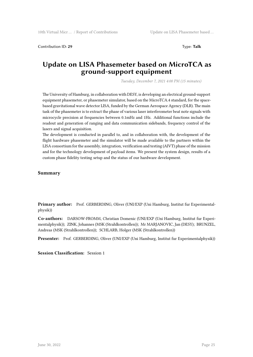Contribution ID: 29 Type: **Talk** 

### **Update on LISA Phasemeter based on MicroTCA as ground-support equipment**

*Tuesday, December 7, 2021 4:00 PM (15 minutes)*

The University of Hamburg, in collaboration with DESY, is developing an electrical ground-support equipment phasemeter, or phasemeter simulator, based on the MicroTCA.4 standard, for the spacebased gravitational wave detector LISA, funded by the German Aerospace Agency (DLR). The main task of the phasemeter is to extract the phase of various laser interferometer beat note signals with microcycle precision at frequencies between 0.1mHz and 1Hz. Additional functions include the readout and generation of ranging and data communication sidebands, frequency control of the lasers and signal acquisition.

The development is conducted in parallel to, and in collaboration with, the development of the flight hardware phasemeter and the simulator will be made available to the partners within the LISA consortium for the assembly, integration, verification and testing (AIVT) phase of the mission and for the technology development of payload items. We present the system design, results of a custom phase fidelity testing setup and the status of our hardware development.

#### **Summary**

**Primary author:** Prof. GERBERDING, Oliver (UNI/EXP (Uni Hamburg, Institut fur Experimentalphysik))

**Co-authors:** DARSOW-FROMM, Christian Domenic (UNI/EXP (Uni Hamburg, Institut fur Experimentalphysik)); ZINK, Johannes (MSK (Strahlkontrollen)); Mr MARJANOVIC, Jan (DESY); BRUNZEL, Andreas (MSK (Strahlkontrollen)); SCHLARB, Holger (MSK (Strahlkontrollen))

**Presenter:** Prof. GERBERDING, Oliver (UNI/EXP (Uni Hamburg, Institut fur Experimentalphysik))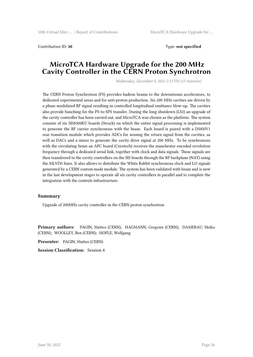Contribution ID: **30** Type: **not specified**

### **MicroTCA Hardware Upgrade for the 200 MHz Cavity Controller in the CERN Proton Synchrotron**

*Wednesday, December 8, 2021 2:15 PM (15 minutes)*

The CERN Proton Synchrotron (PS) provides hadron beams to the downstream accelerators, to dedicated experimental areas and for anti-proton production. Six 200 MHz cavities are driven by a phase modulated RF signal resulting in controlled longitudinal emittance blow-up. The cavities also provide bunching for the PS-to-SPS transfer. During the long shutdown (LS2) an upgrade of the cavity controller has been carried out, and MicroTCA was chosen as the platform. The system consists of six SIS8300KU boards (Struck) on which the entire signal processing is implemented to generate the RF carrier synchronous with the beam. Each board is paired with a DS8MV1 rear transition module which provides ADCs for sensing the return signal from the cavities, as well as DACs and a mixer to generate the cavity drive signal at 200 MHz. To be synchronous with the circulating beam an AFC board (Creotech) receives the manchester encoded revolution frequency through a dedicated serial link, together with clock and data signals. These signals are then transferred to the cavity controllers on the SIS boards through the RF backplane (NAT) using the MLVDS lines. It also allows to distribute the White Rabbit synchronous clock and LO signals generated by a CERN custom made module. The system has been validated with beam and is now in the last development stages to operate all six cavity controllers in parallel and to complete the integration with the controls infrastructure.

#### **Summary**

Upgrade of 200MHz cavity controller in the CERN proton synchrotron

**Primary authors:** PAGIN, Matteo (CERN); HAGMANN, Gregoire (CERN); DAMERAU, Heiko (CERN); WOOLLEY, Ben (CERN); HOFLE, Wolfgang

**Presenter:** PAGIN, Matteo (CERN)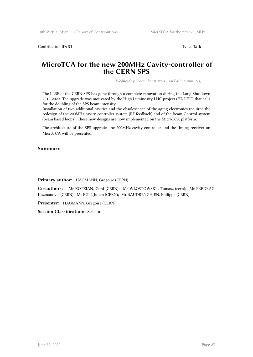Contribution ID: **31** Type: **Talk**

### **MicroTCA for the new 200MHz Cavity-controller of the CERN SPS**

*Wednesday, December 8, 2021 2:00 PM (15 minutes)*

The LLRF of the CERN SPS has gone through a complete renovation during the Long Shutdown 2019-2020. The upgrade was motivated by the High Luminosity LHC project (HL-LHC) that calls for the doubling of the SPS beam intensity .

Installation of two additional cavities and the obsolescence of the aging electronics required the redesign of the 200MHz cavity-controller system (RF feedback) and of the Beam-Control system (beam based loops). These new designs are now implemented on the MicroTCA platform.

The architecture of the SPS upgrade, the 200MHz cavity-controller and the timing receiver on MicroTCA will be presented.

#### **Summary**

**Primary author:** HAGMANN, Gregoire (CERN)

**Co-authors:** Mr KOTZIAN, Gerd (CERN); Mr WLOSTOWSKI , Tomasz (cern); Mr PREDRAG, Kuzmanovic (CERN); Mr EGLI, Julien (CERN); Mr BAUDRENGHIEN, Philippe (CERN)

**Presenter:** HAGMANN, Gregoire (CERN)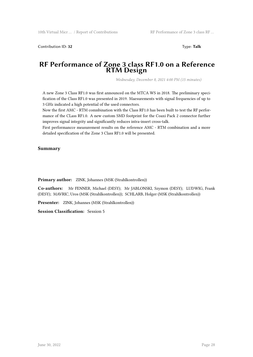Contribution ID: **32** Type: **Talk**

### **RF Performance of Zone 3 class RF1.0 on a Reference RTM Design**

*Wednesday, December 8, 2021 4:00 PM (15 minutes)*

A new Zone 3 Class RF1.0 was first announced on the MTCA WS in 2018. The preliminary specification of the Class RF1.0 was presented in 2019. Maesurements with signal frequencies of up to 3 GHz indicated a high potential of the used connectors.

Now the first AMC - RTM comnbination with the Class RF1.0 has been built to test the RF performance of the CLass RF1.0. A new custom SMD footprint for the Coaxi Pack 2 connector further improves signal integrity and significantly reduces intra-insert cross-talk.

First performancce measurement results on the reference AMC - RTM combination and a more detailed specification of the Zone 3 Class RF1.0 will be presented.

#### **Summary**

**Primary author:** ZINK, Johannes (MSK (Strahlkontrollen))

**Co-authors:** Mr FENNER, Michael (DESY); Mr JABLONSKI, Szymon (DESY); LUDWIG, Frank (DESY); MAVRIC, Uros (MSK (Strahlkontrollen)); SCHLARB, Holger (MSK (Strahlkontrollen))

**Presenter:** ZINK, Johannes (MSK (Strahlkontrollen))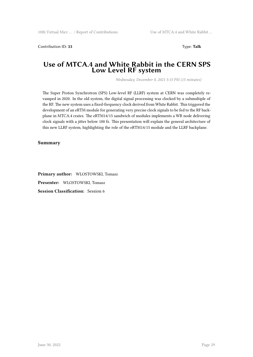Contribution ID: 33 Type: Talk

### **Use of MTCA.4 and White Rabbit in the CERN SPS Low Level RF system**

*Wednesday, December 8, 2021 5:15 PM (15 minutes)*

The Super Proton Synchrotron (SPS) Low-level RF (LLRF) system at CERN was completely revamped in 2020. In the old system, the digital signal processing was clocked by a submultiple of the RF. The new system uses a fixed-frequency clock derived from White Rabbit. This triggered the development of an eRTM module for generating very precise clock signals to be fed to the RF backplane in MTCA.4 crates. The eRTM14/15 sandwich of modules implements a WR node delivering clock signals with a jitter below 100 fs. This presentation will explain the general architecture of this new LLRF system, highlighting the role of the eRTM14/15 module and the LLRF backplane.

#### **Summary**

**Primary author:** WLOSTOWSKI, Tomasz **Presenter:** WLOSTOWSKI, Tomasz **Session Classification:** Session 6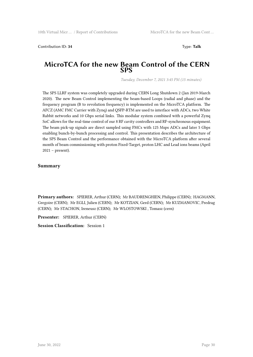Contribution ID: **34** Type: **Talk**

### **MicroTCA for the new Beam Control of the CERN SPS**

*Tuesday, December 7, 2021 3:45 PM (15 minutes)*

The SPS LLRF system was completely upgraded during CERN Long Shutdown 2 (Jan 2019-March 2020). The new Beam Control implementing the beam-based Loops (radial and phase) and the frequency program (B to revolution frequency) is implemented on the MicroTCA platform. The AFCZ (AMC FMC Carrier with Zynq) and QSFP-RTM are used to interface with ADCs, two White Rabbit networks and 10 Gbps serial links. This modular system combined with a powerful Zynq SoC allows for the real-time control of our 8 RF cavity controllers and RF-synchronous equipment. The beam pick-up signals are direct sampled using FMCs with 125 Msps ADCs and later 5 Gbps enabling bunch-by-bunch processing and control. This presentation describes the architecture of the SPS Beam Control and the performance obtained with the MicroTCA platform after several month of beam commissioning with proton Fixed-Target, proton LHC and Lead ions beams (April 2021 – present).

#### **Summary**

**Primary authors:** SPIERER, Arthur (CERN); Mr BAUDRENGHIEN, Philippe (CERN); HAGMANN, Gregoire (CERN); Mr EGLI, Julien (CERN); Mr KOTZIAN, Gerd (CERN); Mr KUZMANOVIC, Predrag (CERN); Mr STACHON, Ireneusz (CERN); Mr WLOSTOWSKI , Tomasz (cern)

**Presenter:** SPIERER, Arthur (CERN)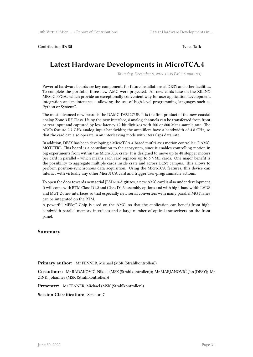**Contribution ID: 35** Type: **Talk** 

# **Latest Hardware Developments in MicroTCA.4**

*Thursday, December 9, 2021 12:35 PM (15 minutes)*

Powerful hardware boards are key components for future installations at DESY and other facilities. To complete the portfolio, three new AMC were projected. All new cards base on the XILINX MPSoC FPGAs which provide an exceptionally convenient way for user application development, integration and maintenance - allowing the use of high-level programming languages such as Python or SystemC.

The most advanced new board is the DAMC-DS812ZUP. It is the first product of the new coaxial analog Zone 3 RF Class. Using the new interface, 8 analog channels can be transferred from front or rear input and captured by low-latency 12-bit digitizes with 500 or 800 Msps sample rate. The ADCs feature 2.7 GHz analog input bandwidth; the amplifiers have a bandwidth of 4.8 GHz, so that the card can also operate in an interleaving mode with 1600 Gsps data rate.

In addition, DESY has been developing a MicroTCA.4-based mutlti-axis motion controller: DAMC-MOTCTRL. This board is a contribution to the ecosystem, since it enables controlling motion in big experiments from within the MicroTCA crate. It is designed to move up to 48 stepper motors per card in parallel - which means each card replaces up to 6 VME cards. One major benefit is the possibility to aggregate multiple cards inside crate and across DESY campus. This allows to perform position-synchronous data acquisition. Using the MicroTCA features, this device can interact with virtually any other MicroTCA card and trigger user-programmable actions.

To open the door towards new serial JESD204 digitizes, a new AMC card is also under development. It will come with RTM Class D1.2 and Class D1.3 assembly options and with high-bandwidth LVDS and MGT Zone3 interfaces so that especially new serial converters with many parallel MGT lanes can be integrated on the RTM.

A powerful MPSoC Chip is used on the AMC, so that the application can benefit from highbandwidth parallel memory interfaces and a large number of optical transceivers on the front panel.

#### **Summary**

**Primary author:** Mr FENNER, Michael (MSK (Strahlkontrollen))

**Co-authors:** Mr RADAKOVIĆ, Nikola (MSK (Strahlkontrollen)); Mr MARJANOVIĆ, Jan (DESY); Mr ZINK, Johannes (MSK (Strahlkontrollen))

**Presenter:** Mr FENNER, Michael (MSK (Strahlkontrollen))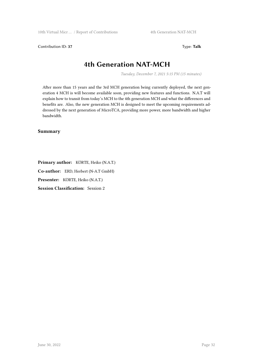Contribution ID: **37** Type: **Talk**

# **4th Generation NAT-MCH**

*Tuesday, December 7, 2021 5:15 PM (15 minutes)*

After more than 15 years and the 3rd MCH generation being currently deployed, the next generation 4 MCH is will become available soon, providing new features and functions. N.A.T will explain how to transit from today's MCH to the 4th generation MCH and what the differences and benefits are. Also, the new generation MCH is designed to meet the upcoming requirements addressed by the next generation of MicroTCA, providing more power, more bandwidth and higher bandwidth.

#### **Summary**

**Primary author:** KÖRTE, Heiko (N.A.T.) **Co-author:** ERD, Herbert (N-A.T GmbH) **Presenter:** KÖRTE, Heiko (N.A.T.) **Session Classification:** Session 2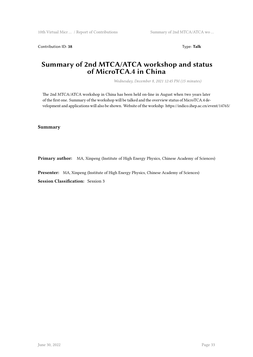Contribution ID: 38 Type: Talk

## **Summary of 2nd MTCA/ATCA workshop and status of MicroTCA.4 in China**

*Wednesday, December 8, 2021 12:45 PM (15 minutes)*

The 2nd MTCA/ATCA workshop in China has been held on-line in August when two years later of the first one. Summary of the workshop will be talked and the overview status of MicroTCA.4 development and applications will also be shown. Website of the workshp: https://indico.ihep.ac.cn/event/14765/

#### **Summary**

**Primary author:** MA, Xinpeng (Institute of High Energy Physics, Chinese Academy of Sciences)

**Presenter:** MA, Xinpeng (Institute of High Energy Physics, Chinese Academy of Sciences)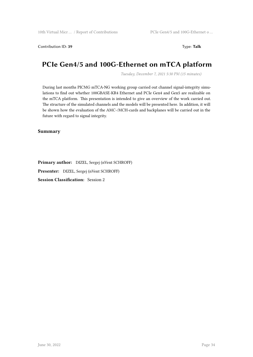#### Contribution ID: **39** Type: **Talk**

# **PCIe Gen4/5 and 100G-Ethernet on mTCA platform**

*Tuesday, December 7, 2021 5:30 PM (15 minutes)*

During last months PICMG mTCA-NG working group carried out channel signal-integrity simulations to find out whether 100GBASE-KR4 Ethernet and PCIe Gen4 and Gen5 are realizable on the mTCA platform. This presentation is intended to give an overview of the work carried out. The structure of the simulated channels and the models will be presented here. In addition, it will be shown how the evaluation of the AMC-/MCH-cards and backplanes will be carried out in the future with regard to signal integrity.

#### **Summary**

**Primary author:** DIZEL, Sergej (nVent SCHROFF)

**Presenter:** DIZEL, Sergej (nVent SCHROFF)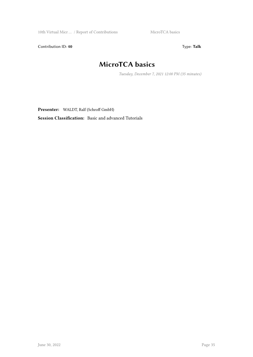Contribution ID: 40 Type: Talk

# **MicroTCA basics**

*Tuesday, December 7, 2021 12:00 PM (35 minutes)*

**Presenter:** WALDT, Ralf (Schroff GmbH)

**Session Classification:** Basic and advanced Tutorials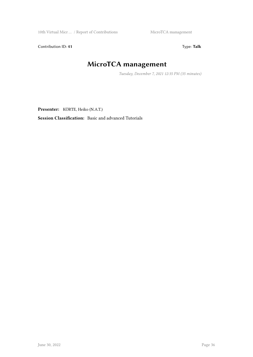Contribution ID: 41 Type: Talk

# **MicroTCA management**

*Tuesday, December 7, 2021 12:35 PM (35 minutes)*

**Presenter:** KÖRTE, Heiko (N.A.T.)

**Session Classification:** Basic and advanced Tutorials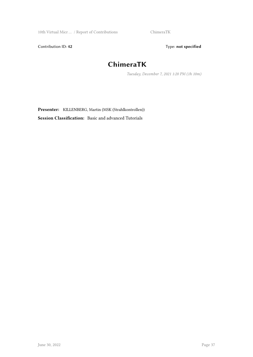Contribution ID: 42 Type: **not specified** 

# **ChimeraTK**

*Tuesday, December 7, 2021 1:20 PM (1h 10m)*

**Presenter:** KILLENBERG, Martin (MSK (Strahlkontrollen)) **Session Classification:** Basic and advanced Tutorials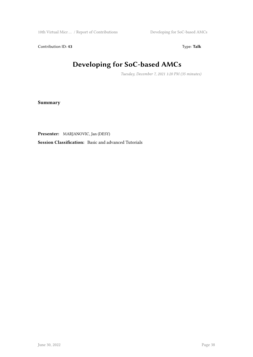Contribution ID: 43 Type: Talk

# **Developing for SoC-based AMCs**

*Tuesday, December 7, 2021 1:20 PM (35 minutes)*

**Summary**

**Presenter:** MARJANOVIC, Jan (DESY)

**Session Classification:** Basic and advanced Tutorials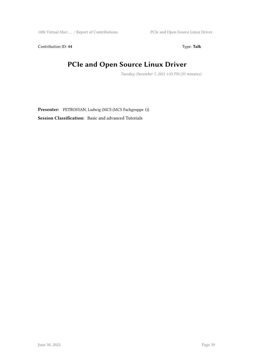Contribution ID: 44 Type: Talk

# **PCIe and Open Source Linux Driver**

*Tuesday, December 7, 2021 1:55 PM (35 minutes)*

**Presenter:** PETROSYAN, Ludwig (MCS (MCS Fachgruppe 1)) **Session Classification:** Basic and advanced Tutorials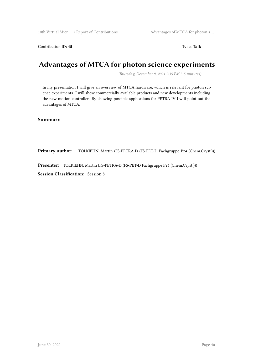#### Contribution ID: 45 Type: **Talk**

# **Advantages of MTCA for photon science experiments**

*Thursday, December 9, 2021 2:35 PM (15 minutes)*

In my presentation I will give an overview of MTCA hardware, which is relevant for photon science experiments. I will show commercially available products and new developments including the new motion controller. By showing possible applications for PETRA-IV I will point out the advantages of MTCA.

#### **Summary**

**Primary author:** TOLKIEHN, Martin (FS-PETRA-D (FS-PET-D Fachgruppe P24 (Chem.Cryst.)))

**Presenter:** TOLKIEHN, Martin (FS-PETRA-D (FS-PET-D Fachgruppe P24 (Chem.Cryst.)))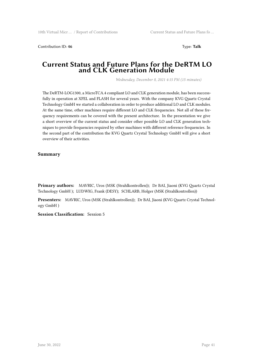Contribution ID: **46** Type: **Talk**

### **Current Status and Future Plans for the DeRTM LO and CLK Generation Module**

*Wednesday, December 8, 2021 4:15 PM (15 minutes)*

The DeRTM-LOG1300, a MicroTCA.4 compliant LO and CLK generation module, has been successfully in operation at XFEL and FLASH for several years. With the company KVG Quartz Crystal Technology GmbH we started a collaboration in order to produce additional LO and CLK modules. At the same time, other machines require different LO and CLK frequencies. Not all of these frequency requirements can be covered with the present architecture. In the presentation we give a short overview of the current status and consider other possible LO and CLK generation techniques to provide frequencies required by other machines with different reference frequencies. In the second part of the contribution the KVG Quartz Crystal Technology GmbH will give a short overview of their activities.

#### **Summary**

**Primary authors:** MAVRIC, Uros (MSK (Strahlkontrollen)); Dr BAI, Jiaoni (KVG Quartz Crystal Technology GmbH ); LUDWIG, Frank (DESY); SCHLARB, Holger (MSK (Strahlkontrollen))

**Presenters:** MAVRIC, Uros (MSK (Strahlkontrollen)); Dr BAI, Jiaoni (KVG Quartz Crystal Technology GmbH )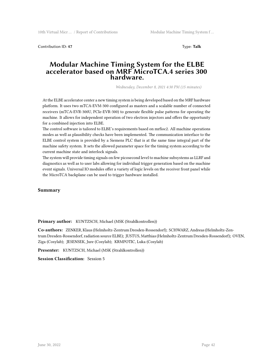Contribution ID: **47** Type: **Talk**

### **Modular Machine Timing System for the ELBE accelerator based on MRF MicroTCA.4 series 300 hardware.**

*Wednesday, December 8, 2021 4:30 PM (15 minutes)*

At the ELBE accelerator center a new timing system is being developed based on the MRF hardware platform. It uses two mTCA-EVM-300 configured as masters and a scalable number of connected receivers (mTCA-EVR-300U, PCIe-EVR-300) to generate flexible pulse patterns for operating the machine. It allows for independent operation of two electron injectors and offers the opportunity for a combined injection into ELBE.

The control software is tailored to ELBE's requirements based on mrfioc2. All machine operations modes as well as plausibility checks have been implemented. The communication interface to the ELBE control system is provided by a Siemens PLC that is at the same time integral part of the machine safety system. It sets the allowed parameter space for the timing system according to the current machine state and interlock signals.

The system will provide timing signals on few picosecond level to machine subsystems as LLRF and diagnostics as well as to user labs allowing for individual trigger generation based on the machine event signals. Universal IO modules offer a variety of logic levels on the receiver front panel while the MicroTCA backplane can be used to trigger hardware installed.

#### **Summary**

**Primary author:** KUNTZSCH, Michael (MSK (Strahlkontrollen))

**Co-authors:** ZENKER, Klaus (Helmholtz-Zentrum Dresden-Rossendorf); SCHWARZ, Andreas (Helmholtz-Zentrum Dresden-Rossendorf, radiation source ELBE); JUSTUS, Matthias (Helmholtz-Zentrum Dresden-Rossendorf); OVEN, Ziga (Cosylab); JESENSEK, Jure (Cosylab); KRMPOTIC, Luka (Cosylab)

**Presenter:** KUNTZSCH, Michael (MSK (Strahlkontrollen))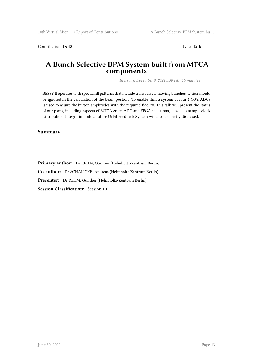Contribution ID: 48 Type: Talk

### **A Bunch Selective BPM System built from MTCA components**

*Thursday, December 9, 2021 5:30 PM (15 minutes)*

BESSY II operates with special fill patterns that include transversely moving bunches, which should be ignored in the calculation of the beam postion. To enable this, a system of four 1 GS/s ADCs is used to acuire the button amplitudes with the required fidelity. This talk will present the status of our plans, including aspects of MTCA crate, ADC and FPGA selections, as well as sample clock distribution. Integration into a future Orbit Feedback System will also be briefly discussed.

**Summary**

**Primary author:** Dr REHM, Günther (Helmholtz-Zentrum Berlin) **Co-author:** Dr SCHÄLICKE, Andreas (Helmholtz Zentrum Berlin) **Presenter:** Dr REHM, Günther (Helmholtz-Zentrum Berlin) **Session Classification:** Session 10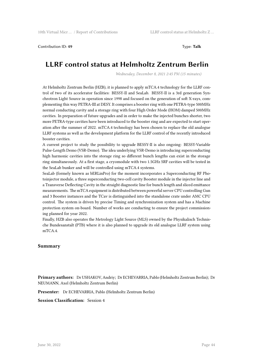Contribution ID: **49** Type: **Talk**

# **LLRF control status at Helmholtz Zentrum Berlin**

*Wednesday, December 8, 2021 2:45 PM (15 minutes)*

At Helmholtz Zentrum Berlin (HZB), it is planned to apply mTCA.4 technology for the LLRF control of two of its accelerator facilities: BESSY-II and SeaLab. BESSY-II is a 3rd generation Synchrotron Light Source in operation since 1998 and focused on the generation of soft X-rays, complementing this way PETRA-III at DESY. It comprises a booster ring with one PETRA-type 500MHz normal conducting cavity and a storage ring with four High Order Mode (HOM) damped 500MHz cavities. In preparation of future upgrades and in order to make the injected bunches shorter, two more PETRA-type cavities have been introduced to the booster ring and are expected to start operation after the summer of 2022. mTCA.4 technology has been chosen to replace the old analogue LLRF systems as well as the development platform for the LLRF control of the recently introduced booster cavities.

A current project to study the possibility to upgrade BESSY-II is also ongoing: BESSY-Variable Pulse-Length Demo (VSR-Demo). The idea underlying VSR-Demo is introducing superconducting high harmonic cavities into the storage ring so different bunch lengths can exist in the storage ring simultaneously. At a first stage, a cryomodule with two 1.5GHz SRF cavities will be tested in the SeaLab bunker and will be controlled using mTCA.4 systems.

SeaLab (formely known as bERLinPro) for the moment incorporates a Superconducting RF Photoinjector module, a three superconducting two-cell cavity Booster module in the injector line and a Transverse Deflecting Cavity in the straight diagnostic line for bunch length and sliced emittance measurements. The mTCA equipment is distributed between powerful server CPU controlling Gun and 3 Booster instances and the TCav is distinguished into the standalone crate under AMC CPU control. The system is driven by precise Timing and synchronization system and has a Machine protection system on-board. Number of works are conducting to ensure the project commissioning planned for year 2022.

Finally, HZB also operates the Metrology Light Source (MLS) owned by the Physikalisch Technische Bundesanstalt (PTB) where it is also planned to upgrade its old analogue LLRF system using mTCA.4.

#### **Summary**

**Primary authors:** Dr USHAKOV, Andriy; Dr ECHEVARRIA, Pablo (Helmholtz Zentrum Berlin); Dr NEUMANN, Axel (Helmholtz Zentrum Berlin)

**Presenter:** Dr ECHEVARRIA, Pablo (Helmholtz Zentrum Berlin)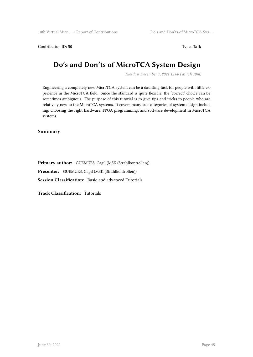Contribution ID: 50 Type: **Talk** 

# **Do's and Don'ts of MicroTCA System Design**

*Tuesday, December 7, 2021 12:00 PM (1h 10m)*

Engineering a completely new MicroTCA system can be a daunting task for people with little experience in the MicroTCA field. Since the standard is quite flexible, the 'correct' choice can be sometimes ambiguous. The purpose of this tutorial is to give tips and tricks to people who are relatively new to the MicroTCA systems. It covers many sub-categories of system design including; choosing the right hardware, FPGA programming, and software development in MicroTCA systems.

**Summary**

**Primary author:** GUEMUES, Cagil (MSK (Strahlkontrollen))

**Presenter:** GUEMUES, Cagil (MSK (Strahlkontrollen))

**Session Classification:** Basic and advanced Tutorials

**Track Classification:** Tutorials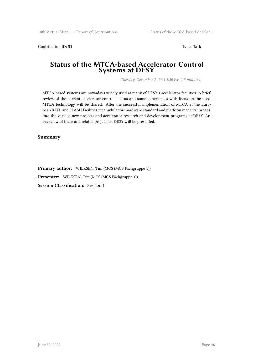Contribution ID: **51** Type: **Talk**

### **Status of the MTCA-based Accelerator Control Systems at DESY**

*Tuesday, December 7, 2021 3:30 PM (15 minutes)*

MTCA-based systems are nowadays widely used at many of DESY's accelerator facilities. A brief review of the current accelerator controls status and some experiences with focus on the used MTCA technology will be shared. After the successful implementation of MTCA at the European XFEL and FLASH facilities meanwhile this hardware standard and platform made its inroads into the various new projects and accelerator research and development programs at DESY. An overview of these and related projects at DESY will be presented.

**Summary**

**Primary author:** WILKSEN, Tim (MCS (MCS Fachgruppe 1)) **Presenter:** WILKSEN, Tim (MCS (MCS Fachgruppe 1)) **Session Classification:** Session 1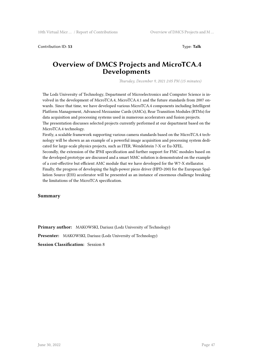Contribution ID: **53** Type: **Talk**

### **Overview of DMCS Projects and MicroTCA.4 Developments**

*Thursday, December 9, 2021 2:05 PM (15 minutes)*

The Lodz University of Technology, Department of Microelectronics and Computer Science is involved in the development of MicroTCA.4, MicroTCA.4.1 and the future standards from 2007 onwards. Since that time, we have developed various MicroTCA.4 components including Intelligent Platform Management, Advanced Mezzanine Cards (AMCs), Rear Transition Modules (RTMs) for data acquisition and processing systems used in numerous accelerators and fusion projects. The presentation discusses selected projects currently performed at our department based on the

MicroTCA.4 technology.

Firstly, a scalable framework supporting various camera standards based on the MicroTCA.4 technology will be shown as an example of a powerful image acquisition and processing system dedicated for large-scale physics projects, such as ITER, Wendelstein 7-X or Eu-XFEL.

Secondly, the extension of the IPMI specification and further support for FMC modules based on the developed prototype are discussed and a smart MMC solution is demonstrated on the example of a cost-effective but efficient AMC module that we have developed for the W7-X stellarator.

Finally, the progress of developing the high-power piezo driver (HPD-200) for the European Spallation Source (ESS) accelerator will be presented as an instance of enormous challenge breaking the limitations of the MicroTCA specification.

#### **Summary**

**Primary author:** MAKOWSKI, Dariusz (Lodz University of Technology)

**Presenter:** MAKOWSKI, Dariusz (Lodz University of Technology)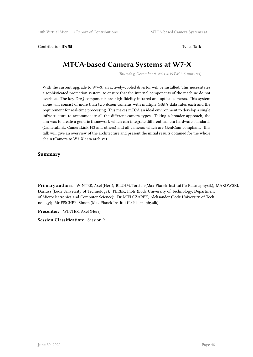**Contribution ID: 55** Type: **Talk** 

# **MTCA-based Camera Systems at W7-X**

*Thursday, December 9, 2021 4:35 PM (15 minutes)*

With the current upgrade to W7-X, an actively-cooled divertor will be installed. This necessitates a sophisticated protection system, to ensure that the internal components of the machine do not overheat. The key DAQ components are high-fidelity infrared and optical cameras. This system alone will consist of more than two dozen cameras with multiple GBit/s data rates each and the requirement for real-time processing. This makes mTCA an ideal environment to develop a single infrastructure to accommodate all the different camera types. Taking a broader approach, the aim was to create a generic framework which can integrate different camera hardware standards (CameraLink, CameraLink HS and others) and all cameras which are GenICam compliant. This talk will give an overview of the architecture and present the initial results obtained for the whole chain (Camera to W7-X data archive).

#### **Summary**

**Primary authors:** WINTER, Axel (Herr); BLUHM, Torsten (Max-Planck-Institut für Plasmaphysik); MAKOWSKI, Dariusz (Lodz University of Technology); PEREK, Piotr (Lodz University of Technology, Department of Microelectronics and Computer Science); Dr MIELCZAREK, Aleksander (Lodz University of Technology); Mr FISCHER, Simon (Max Planck Institut für Plasmaphysik)

**Presenter:** WINTER, Axel (Herr)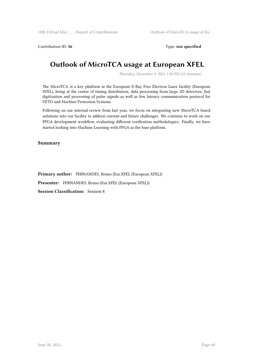Contribution ID: 56 Type: **not specified** 

# **Outlook of MicroTCA usage at European XFEL**

*Thursday, December 9, 2021 1:50 PM (15 minutes)*

The MicroTCA is a key platform at the European X-Ray Free Electron Laser facility (European XFEL), being at the centre of timing distribution, data processing from large 2D detectors, fast digitization and processing of pulse signals as well as low latency communication protocol for VETO and Machine Protection Systems.

Following on our internal review from last year, we focus on integrating new MicroTCA based solutions into our facility to address current and future challenges. We continue to work on our FPGA development workflow, evaluating different verification methodologies. Finally, we have started looking into Machine Learning with FPGA as the base platform.

#### **Summary**

**Primary author:** FERNANDES, Bruno (Eur.XFEL (European XFEL))

**Presenter:** FERNANDES, Bruno (Eur.XFEL (European XFEL))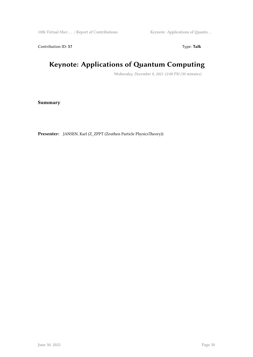Contribution ID: 57 Type: Talk

# **Keynote: Applications of Quantum Computing**

*Wednesday, December 8, 2021 12:00 PM (30 minutes)*

**Summary**

**Presenter:** JANSEN, Karl (Z\_ZPPT (Zeuthen Particle PhysicsTheory))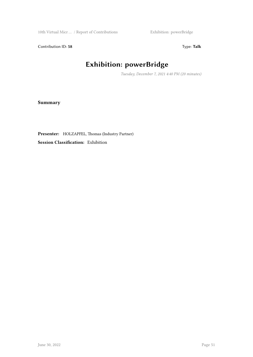Contribution ID: 58 Type: Talk

# **Exhibition: powerBridge**

*Tuesday, December 7, 2021 4:40 PM (20 minutes)*

**Summary**

**Presenter:** HOLZAPFEL, Thomas (Industry Partner)

**Session Classification:** Exhibition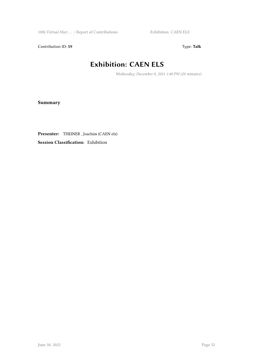Contribution ID: 59 Type: Talk

# **Exhibition: CAEN ELS**

*Wednesday, December 8, 2021 1:40 PM (20 minutes)*

**Summary**

**Presenter:** THEINER , Joachim (CAEN els)

**Session Classification:** Exhibition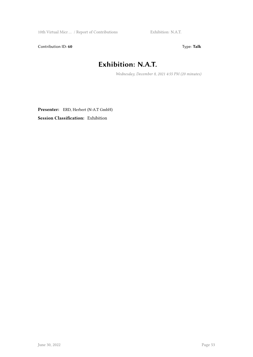Contribution ID: 60 Type: Talk

# **Exhibition: N.A.T.**

*Wednesday, December 8, 2021 4:55 PM (20 minutes)*

**Presenter:** ERD, Herbert (N-A.T GmbH) **Session Classification:** Exhibition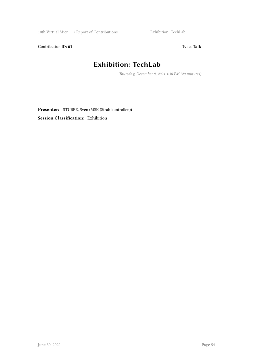Contribution ID: 61 Type: Talk

# **Exhibition: TechLab**

*Thursday, December 9, 2021 1:30 PM (20 minutes)*

**Presenter:** STUBBE, Sven (MSK (Strahlkontrollen)) **Session Classification:** Exhibition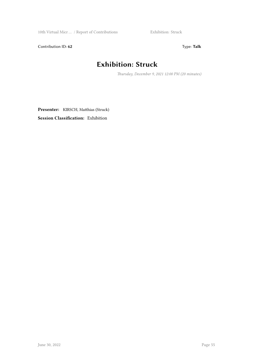Contribution ID: 62 Type: Talk

# **Exhibition: Struck**

*Thursday, December 9, 2021 12:00 PM (20 minutes)*

**Presenter:** KIRSCH, Matthias (Struck) **Session Classification:** Exhibition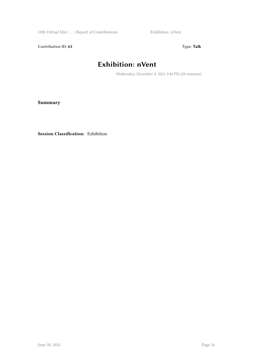Contribution ID: 63 Type: Talk

# **Exhibition: nVent**

*Wednesday, December 8, 2021 3:40 PM (20 minutes)*

**Summary**

**Session Classification:** Exhibition